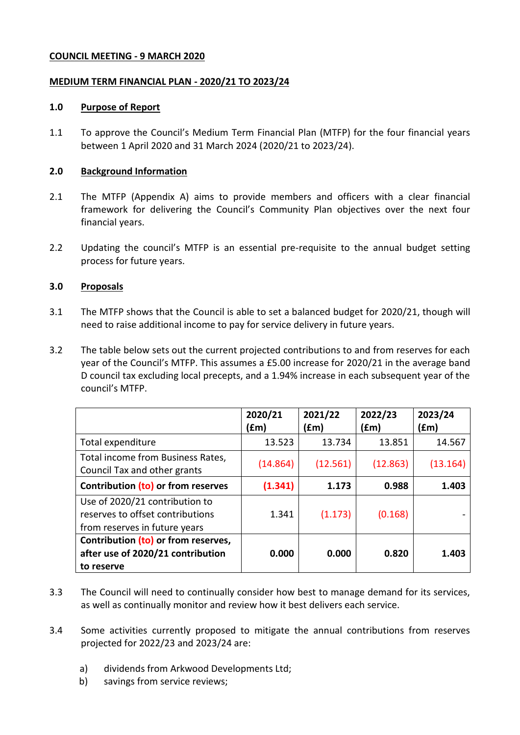### **COUNCIL MEETING - 9 MARCH 2020**

### <span id="page-0-1"></span><span id="page-0-0"></span>**MEDIUM TERM FINANCIAL PLAN - 2020/21 TO 2023/24**

### **1.0 Purpose of Report**

1.1 To approve the Council's Medium Term Financial Plan (MTFP) for the four financial years between 1 April 2020 and 31 March 2024 [\(2020/21](#page-0-0) to [2023/24\)](#page-0-1).

### **2.0 Background Information**

- 2.1 The MTFP (Appendix A) aims to provide members and officers with a clear financial framework for delivering the Council's Community Plan objectives over the next four financial years.
- 2.2 Updating the council's MTFP is an essential pre-requisite to the annual budget setting process for future years.

### **3.0 Proposals**

- 3.1 The MTFP shows that the Council is able to set a balanced budget for [2020/21,](#page-0-0) though will need to raise additional income to pay for service delivery in future years.
- 3.2 The table below sets out the current projected contributions to and from reserves for each year of the Council's MTFP. This assumes a £5.00 increase for [2020/21](#page-0-0) in the average band D council tax excluding local precepts, and a 1.94% increase in each subsequent year of the council's MTFP.

<span id="page-0-2"></span>

|                                                                                                     | 2020/21<br>(£m) | 2021/22<br>(fm) | 2022/23<br>f(m) | 2023/24<br>(£m) |
|-----------------------------------------------------------------------------------------------------|-----------------|-----------------|-----------------|-----------------|
| Total expenditure                                                                                   | 13.523          | 13.734          | 13.851          | 14.567          |
| Total income from Business Rates,<br>Council Tax and other grants                                   | (14.864)        | (12.561)        | (12.863)        | (13.164)        |
| Contribution (to) or from reserves                                                                  | (1.341)         | 1.173           | 0.988           | 1.403           |
| Use of 2020/21 contribution to<br>reserves to offset contributions<br>from reserves in future years | 1.341           | (1.173)         | (0.168)         |                 |
| Contribution (to) or from reserves,<br>after use of 2020/21 contribution<br>to reserve              | 0.000           | 0.000           | 0.820           | 1.403           |

- 3.3 The Council will need to continually consider how best to manage demand for its services, as well as continually monitor and review how it best delivers each service.
- 3.4 Some activities currently proposed to mitigate the annual contributions from reserves projected for [2022/23](#page-0-2) and [2023/24](#page-0-1) are:
	- a) dividends from Arkwood Developments Ltd;
	- b) savings from service reviews;